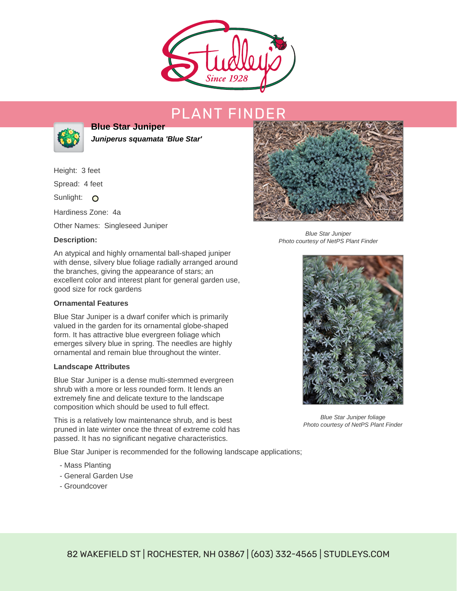

# PLANT FIND



**Blue Star Juniper Juniperus squamata 'Blue Star'**

Height: 3 feet

Spread: 4 feet

Sunlight: O

Hardiness Zone: 4a

Other Names: Singleseed Juniper

## **Description:**

An atypical and highly ornamental ball-shaped juniper with dense, silvery blue foliage radially arranged around the branches, giving the appearance of stars; an excellent color and interest plant for general garden use, good size for rock gardens

### **Ornamental Features**

Blue Star Juniper is a dwarf conifer which is primarily valued in the garden for its ornamental globe-shaped form. It has attractive blue evergreen foliage which emerges silvery blue in spring. The needles are highly ornamental and remain blue throughout the winter.

#### **Landscape Attributes**

Blue Star Juniper is a dense multi-stemmed evergreen shrub with a more or less rounded form. It lends an extremely fine and delicate texture to the landscape composition which should be used to full effect.

This is a relatively low maintenance shrub, and is best pruned in late winter once the threat of extreme cold has passed. It has no significant negative characteristics.

Blue Star Juniper is recommended for the following landscape applications;

- Mass Planting
- General Garden Use
- Groundcover



Blue Star Juniper Photo courtesy of NetPS Plant Finder



Blue Star Juniper foliage Photo courtesy of NetPS Plant Finder